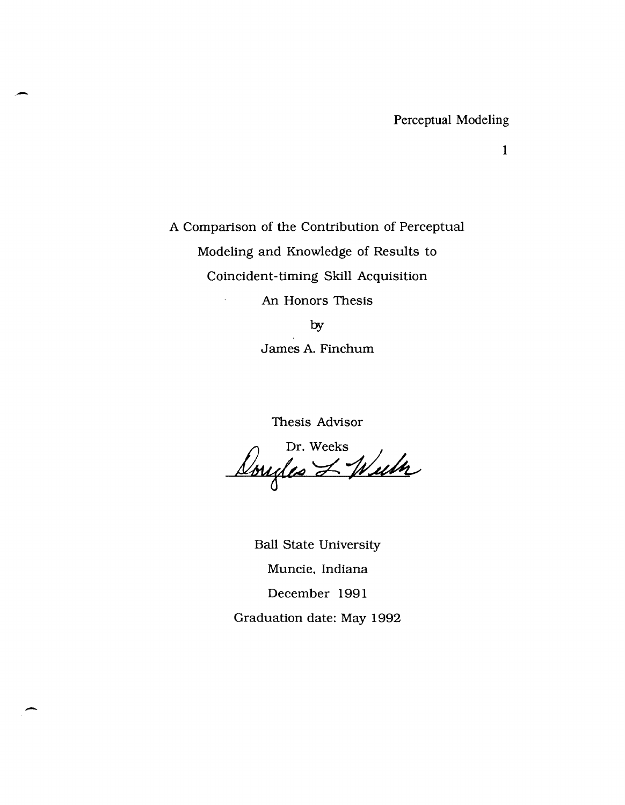Perceptual Modeling

1

A Comparison of the Contribution of Perceptual Modeling and Knowledge of Results to Coincident-timing Skill Acquisition An Honors Thesis by

-

.-

James A. Finchum

Thesis Advisor

Dr. Weeks<br>Dougles L Wuth

Ball State University Muncie, Indiana December 1991 Graduation date: May 1992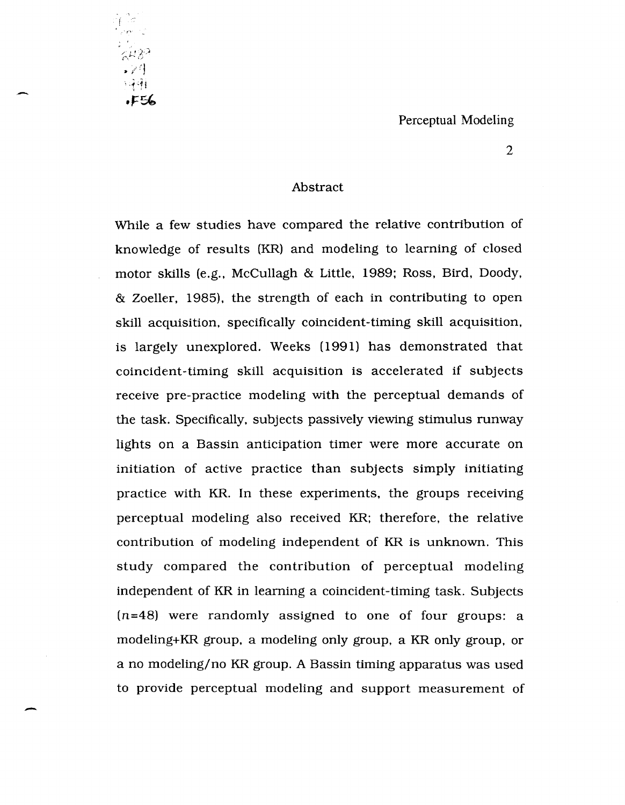#### Perceptual Modeling



-

2

#### Abstract

While a few studies have compared the relative contribution of knowledge of results (KR) and modeling to learning of closed motor skills (e.g., McCullagh & Little, 1989; Ross, Bird, Doody, & Zoeller. 1985). the strength of each in contributing to open skill acquisition. specifically coincident-timing skill acquisition. is largely unexplored. Weeks (1991) has demonstrated that coincident-timing skill acquisition is accelerated if subjects receive pre-practice modeling with the perceptual demands of the task. Specifically. subjects passively viewing stimulus runway lights on a Bassin anticipation timer were more accurate on initiation of active practice than subjects simply initiating practice with KR. In these experiments. the groups receiving perceptual modeling also received KR; therefore. the relative contribution of modeling independent of KR is unknown. This study compared the contribution of perceptual modeling independent of KR in learning a coincident-timing task. Subjects  $(n=48)$  were randomly assigned to one of four groups: a modeling+KR group. a modeling only group. a KR only group, or a no modeling/no KR group. A Bassin timing apparatus was used to provide perceptual modeling and support measurement of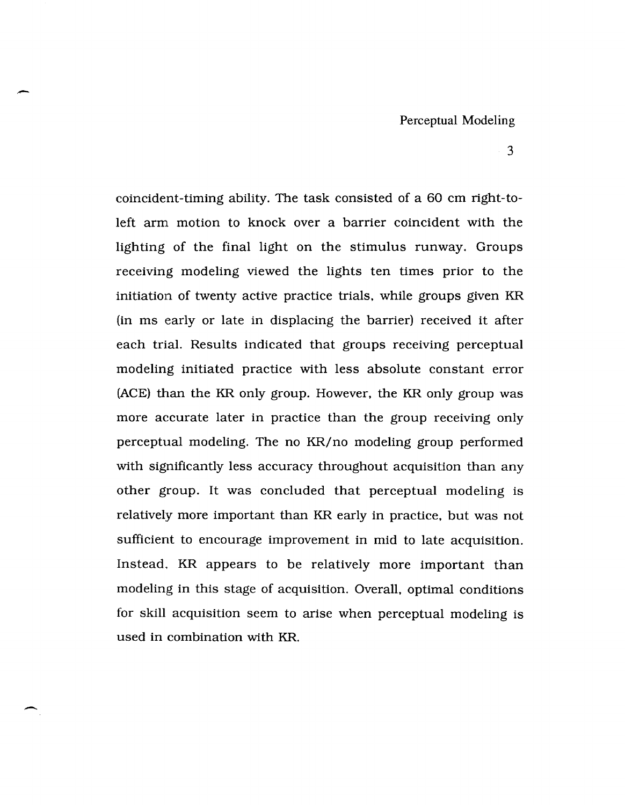coincident-timing ability. The task consisted of a 60 cm right-toleft arm motion to knock over a barrier coincident with the lighting of the final light on the stimulus runway. Groups receiving modeling viewed the lights ten times prior to the initiation of twenty active practice trials, while groups given KR (in ms early or late in displacing the barrier) received it after each trial. Results indicated that groups receiving perceptual modeling initiated practice with less absolute constant error (ACE) than the KR only group. However, the KR only group was more accurate later in practice than the group receiving only perceptual modeling. The no KR/no modeling group performed with significantly less accuracy throughout acquisition than any other group. It was concluded that perceptual modeling is relatively more important than KR early in practice, but was not sufficient to encourage improvement in mid to late acquisition. Instead, KR appears to be relatively more important than modeling in this stage of acquisition. Overall, optimal conditions for skill acquisition seem to arise when perceptual modeling is used in combination with KR.

-

 $\overline{\phantom{0}}$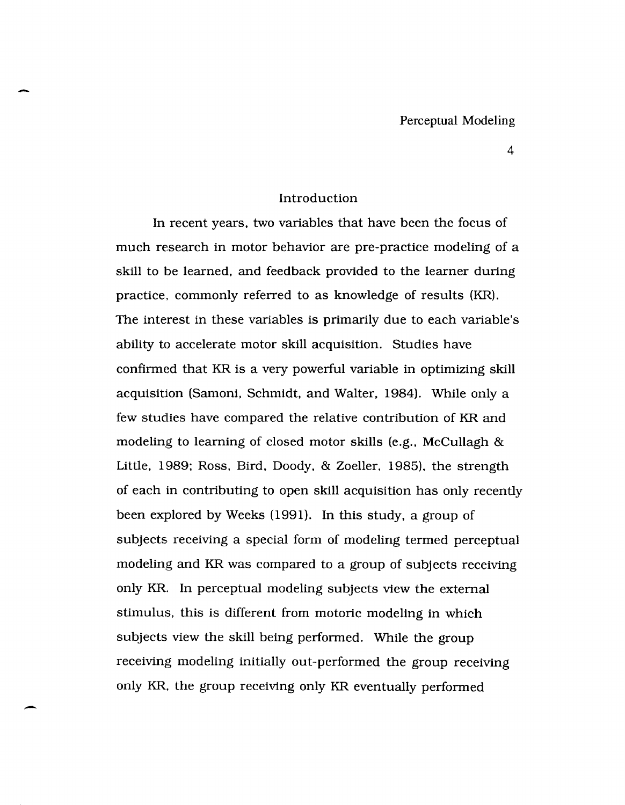#### Introduction

-

-

In recent years, two variables that have been the focus of much research in motor behavior are pre-practice modeling of a skill to be learned, and feedback provided to the learner during practice, commonly referred to as knowledge of results (KR). The interest in these variables is primarily due to each variable's ability to accelerate motor skill acquisition. Studies have confirmed that KR is a very powerful variable in optimizing skill acquisition (Samoni, Schmidt, and Walter, 1984). While only a few studies have compared the relative contribution of KR and modeling to learning of closed motor skills (e .g., McCullagh & Little, 1989; Ross, Bird, Doody, & Zoeller, 1985), the strength of each in contributing to open skill acquisition has only recently been explored by Weeks (1991). In this study. a group of subjects receiving a special form of modeling termed perceptual modeling and KR was compared to a group of subjects receiving only KR. In perceptual modeling subjects view the external stimulus. this is different from motoric modeling in which subjects view the skill being performed. While the group receiving modeling initially out-performed the group receiving only KR, the group receiving only KR eventually performed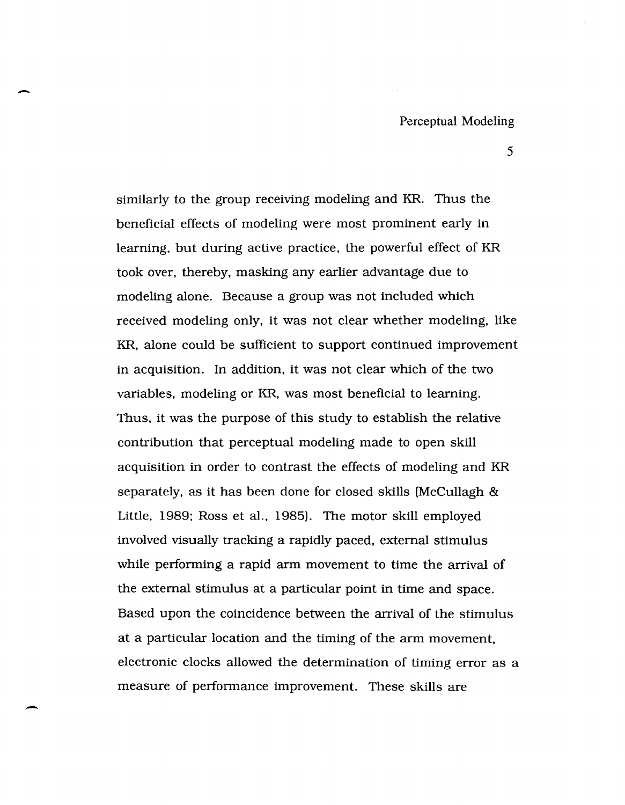similarly to the group receiving modeling and KR. Thus the beneficial effects of modeling were most prominent early in learning, but during active practice, the powerful effect of KR took over, thereby, masking any earlier advantage due to modeling alone. Because a group was not included which received modeling only, it was not clear whether modeling, like KR, alone could be sufficient to support continued improvement in acquisition. In addition, it was not clear which of the two variables, modeling or KR, was most beneficial to learning. Thus, it was the purpose of this study to establish the relative contribution that perceptual modeling made to open skill acquisition in order to contrast the effects of modeling and KR separately, as it has been done for closed skills (McCullagh & Little, 1989; Ross et al., 1985). The motor skill employed involved visually tracking a rapidly paced, external stimulus while performing a rapid arm movement to time the arrival of the external stimulus at a particular point in time and space. Based upon the coincidence between the arrival of the stimulus at a particular location and the timing of the arm movement, electronic clocks allowed the determination of timing error as a measure of performance improvement. These skills are

-

--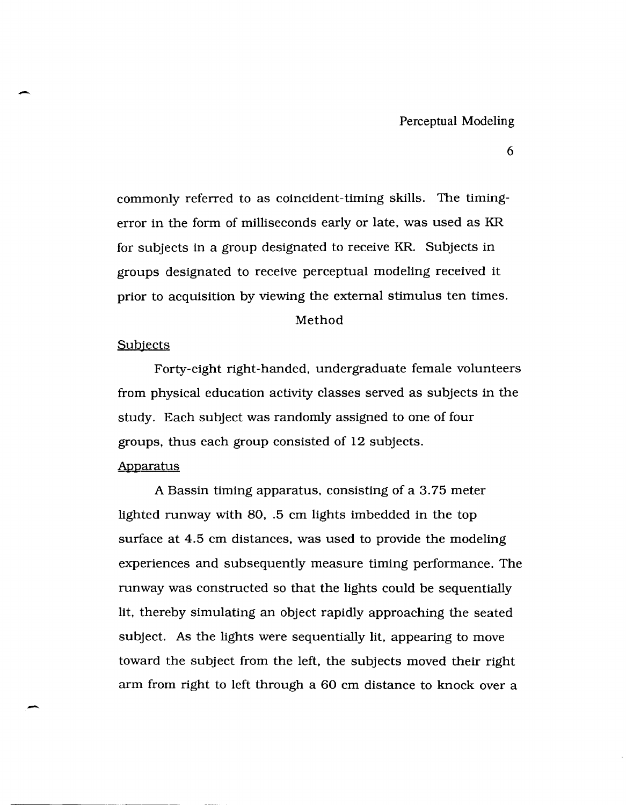commonly referred to as coincident-timing skills. The timingerror in the form of milliseconds early or late, was used as KR for subjects in a group designated to receive KR. Subjects in groups designated to receive perceptual modeling received it prior to acquisition by viewing the external stimulus ten times.

#### Method

#### **Subjects**

Forty-eight right-handed, undergraduate female volunteers from physical education activity classes served as subjects in the study. Each subject was randomly assigned to one of four groups, thus each group consisted of 12 subjects.

#### Apparatus

-.

A Bassin timing apparatus, consisting of a 3.75 meter lighted runway with 80, .5 cm lights imbedded in the top surface at 4.5 cm distances, was used to provide the modeling experiences and subsequently measure timing performance. The runway was constructed so that the lights could be sequentially lit, thereby simulating an object rapidly approaching the seated subject. As the lights were sequentially lit, appearing to move toward the subject from the left, the subjects moved their right arm from right to left through a 60 cm distance to knock over a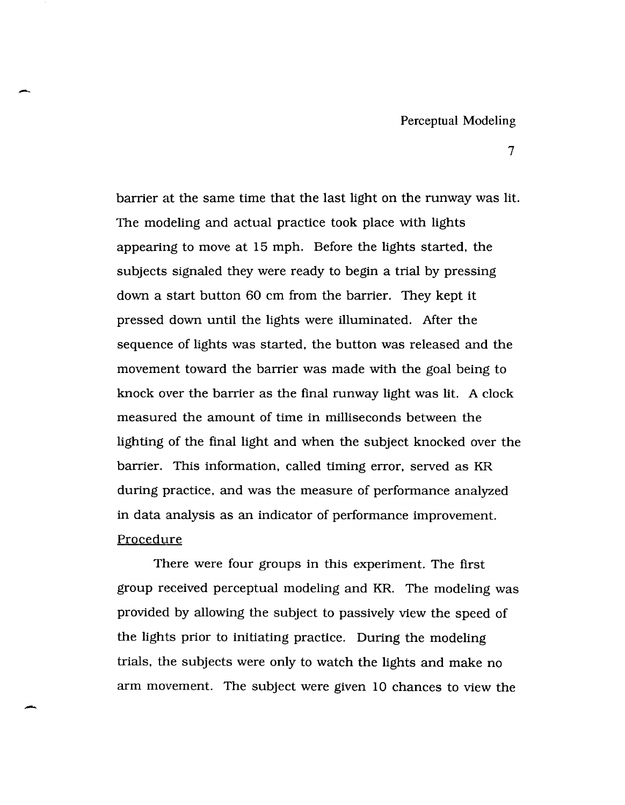barrier at the same time that the last light on the runway was lit. The modeling and actual practice took place with lights appearing to move at 15 mph. Before the lights started, the subjects signaled they were ready to begin a trial by pressing down a start button 60 cm from the barrier. They kept it pressed down until the lights were illuminated. After the sequence of lights was started, the button was released and the movement toward the barrier was made with the goal being to knock over the barrier as the final runway light was lit. A clock measured the amount of time in milliseconds between the lighting of the final light and when the subject knocked over the barrier. This information, called timing error, served as KR during practice, and was the measure of performance analyzed in data analysis as an indicator of performance improvement. Procedure

-

-

There were four groups in this experiment. The first group received perceptual modeling and KR. The modeling was provided by allowing the subject to passively view the speed of the lights prior to initiating practice. During the modeling trials, the subjects were only to watch the lights and make no arm movement. The subject were given 10 chances to view the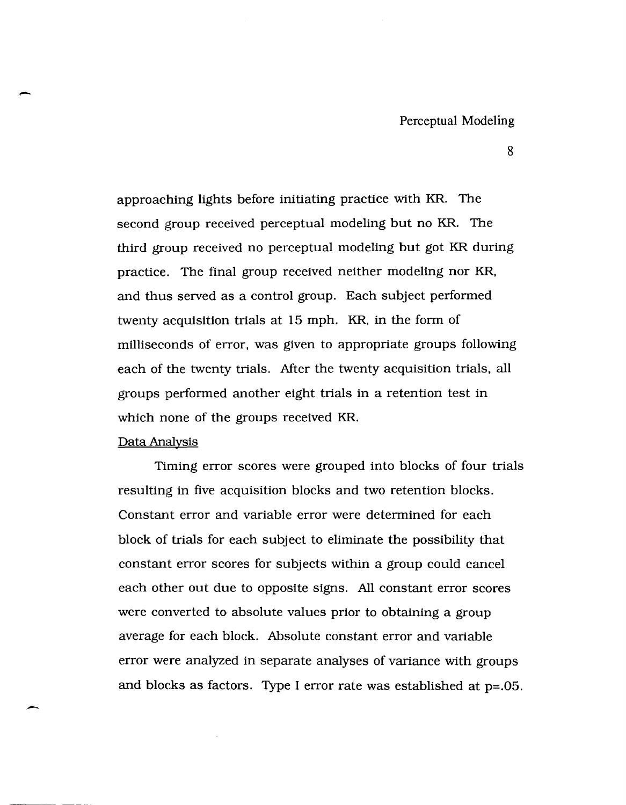approaching lights before initiating practice with KR. The second group received perceptual modeling but no KR. The third group received no perceptual modeling but got KR during practice. The final group received neither modeling nor KR, and thus served as a control group. Each subject performed twenty acquisition trials at 15 mph. KR, in the form of milliseconds of error, was given to appropriate groups following each of the twenty trials. *Mter* the twenty acquisition trials, all groups performed another eight trials in a retention test in which none of the groups received KR.

#### Data Analysis

--

Timing error scores were grouped into blocks of four trials resulting in five acquisition blocks and two retention blocks. Constant error and variable error were determined for each block of trials for each subject to eliminate the possibility that constant error scores for subjects within a group could cancel each other out due to opposite signs. All constant error scores were converted to absolute values prior to obtaining a group average for each block. Absolute constant error and variable error were analyzed in separate analyses of variance with groups and bloeks as factors. Type I error rate was established at p=.05.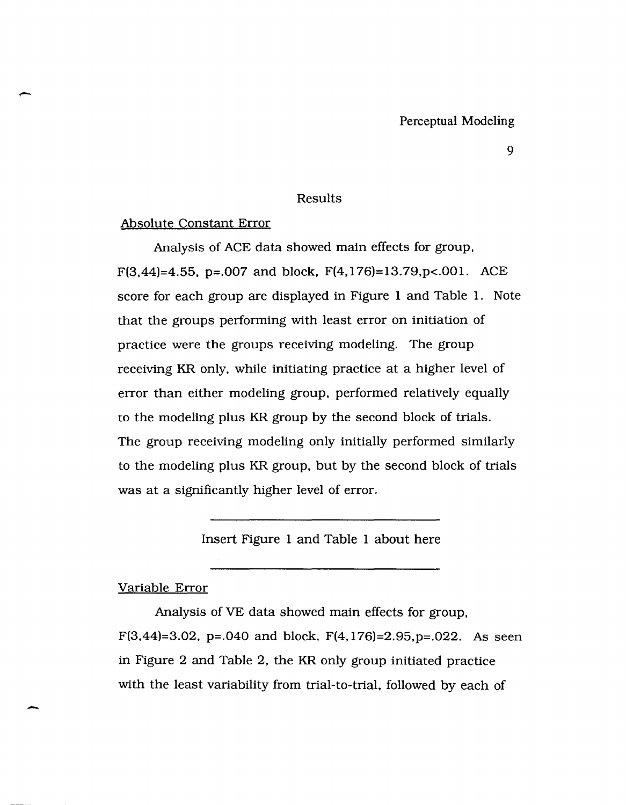### Results

#### Absolute Constant Error

-

-

Analysis of ACE data showed main effects for group, F(3,44)=4.55, p=.007 and block, F(4,176)=13.79, p <.001. ACE score for each group are displayed in Figure 1 and Table 1. Note that the groups performing with least error on initiation of practice were the groups receiving modeling. The group receiving KR only, while initiating practice at a higher level of error than either modeling group, performed relatively equally to the modeling plus KR group by the second block of trials. The group receiving modeling only initially performed similarly to the modeling plus KR group, but by the second block of trials was at a significantly higher level of error.

Insert Figure 1 and Table 1 about here

#### Variable Error

Analysis of VE data showed main effects for group, F(3,44)=3.02, p=.040 and block, F(4,176)=2.95, p=.022. As seen in Figure 2 and Table 2, the KR only group initiated practice with the least variability from trial-to-trial, followed by each of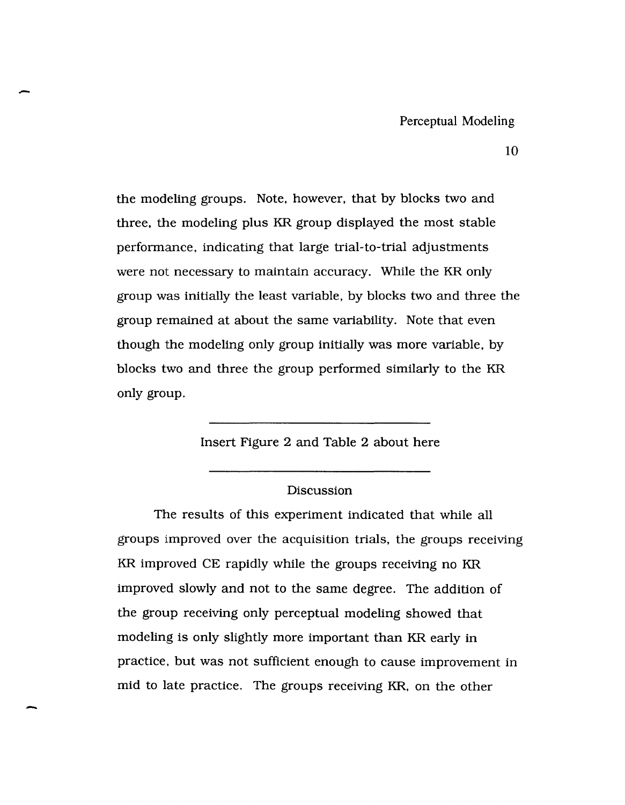the modeling groups. Note, however, that by blocks two and three, the modeling plus KR group displayed the most stable performance, indicating that large trial-to-trial adjustments were not necessary to maintain accuracy. While the KR only group was initially the least variable, by blocks two and three the group remained at about the same variability. Note that even though the modeling only group initially was more variable, by blocks two and three the group performed similarly to the KR only group.

-

-

### Insert Figure 2 and Table 2 about here

#### Discussion

The results of this experiment indicated that while all groups improved over the acquisition trials, the groups receiving KR improved CE rapidly while the groups receiving no KR improved slowly and not to the same degree. The addition of the group receiving only perceptual modeling showed that modeling is only slightly more important than KR early in practice, but was not sufficient enough to cause improvement in mid to late practice. The groups receiving KR, on the other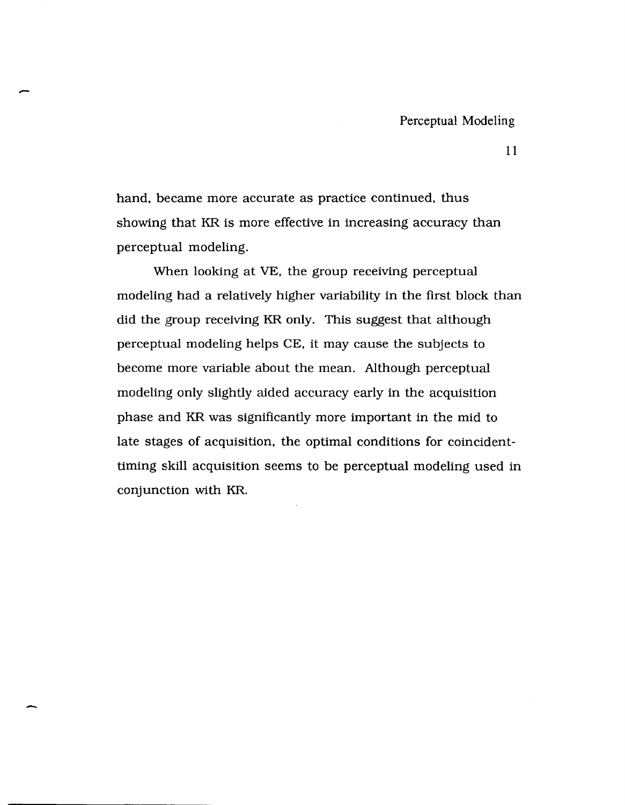hand, became more accurate as practice continued, thus showing that KR is more effective in increasing accuracy than perceptual modeling.

-

-

When looking at VE, the group receiving perceptual modeling had a relatively higher variability in the first block than did the group receiving KR only. This suggest that although perceptual modeling helps CE, it may cause the subjects to become more variable about the mean. Although perceptual modeling only slightly aided accuracy early in the acquisition phase and KR was significantly more important in the mid to late stages of acquisition, the optimal conditions for coincidenttiming skill acquisition seems to be perceptual modeling used in conjunction with KR.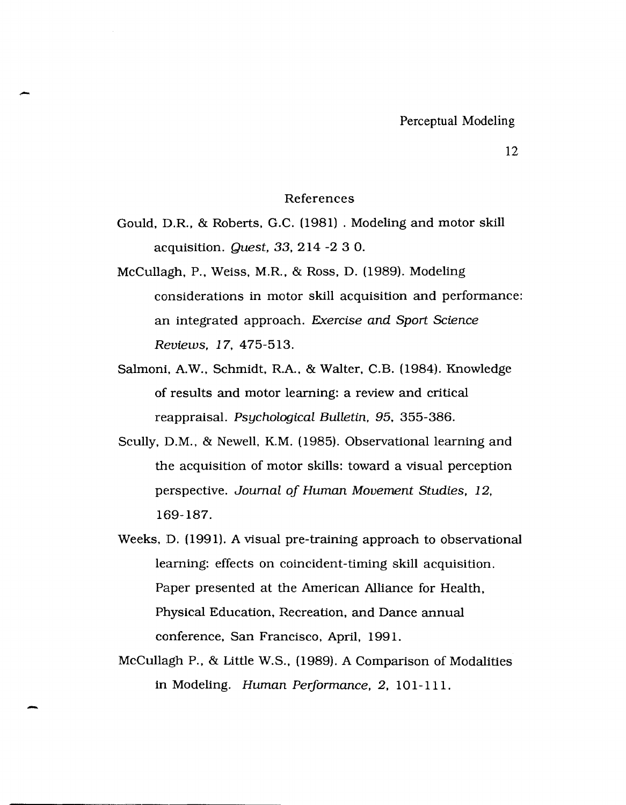#### References

Gould, D.R., & Roberts, G.C. (1981) . Modeling and motor skill acquisition. Quest, 33,214 -2 3 O.

-

- McCullagh, P., Weiss, M.R., & Ross, D. (1989). Modeling considerations in motor skill acquisition and performance: an integrated approach. Exercise and Sport Science Reviews, 17, 475-513.
- Salmoni, A.W., Schmidt, R.A., & Walter, C.B. (1984). Knowledge of results and motor learning: a review and critical reappraisal. Psychological Bulletin. 95, 355-386.
- Scully, D.M., & Newell, K.M. (1985). Observational learning and the acquisition of motor skills: toward a visual perception perspective. Journal oj Human Movement Studies. 12, 169-187.
- Weeks, D. (1991). A visual pre-training approach to observational learning: effects on coincident-timing skill acquisition. Paper presented at the American Alliance for Health, Physical Education, Recreation, and Dance annual conference, San Francisco, April, 1991.
- McCullagh P., & Little W.S., (1989). A Comparison of Modalities in Modeling. Human Performance, 2, 101-111.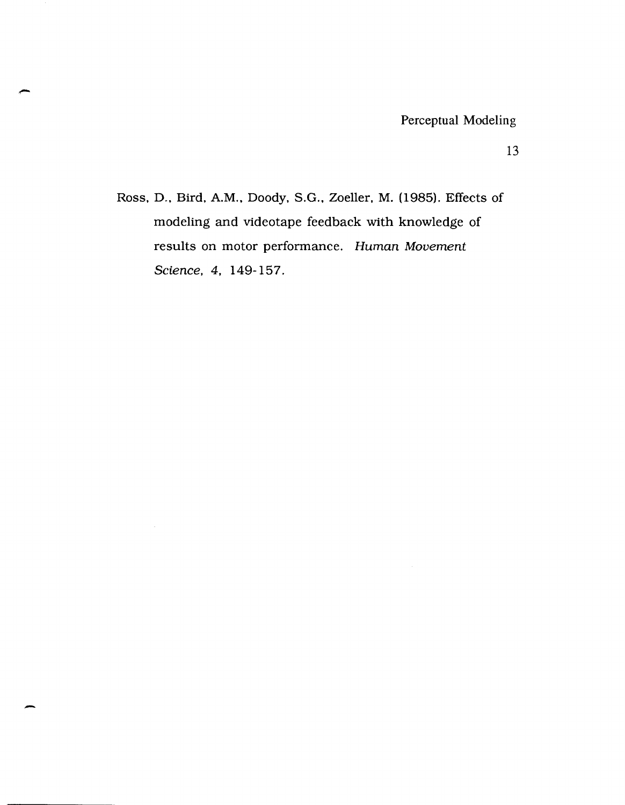Ross, D., Bird, A.M., Doody, S.G., Zoeller, M. (1985). Effects of modeling and videotape feedback with knowledge of results on motor performance. Human Movement Science, 4, 149-157.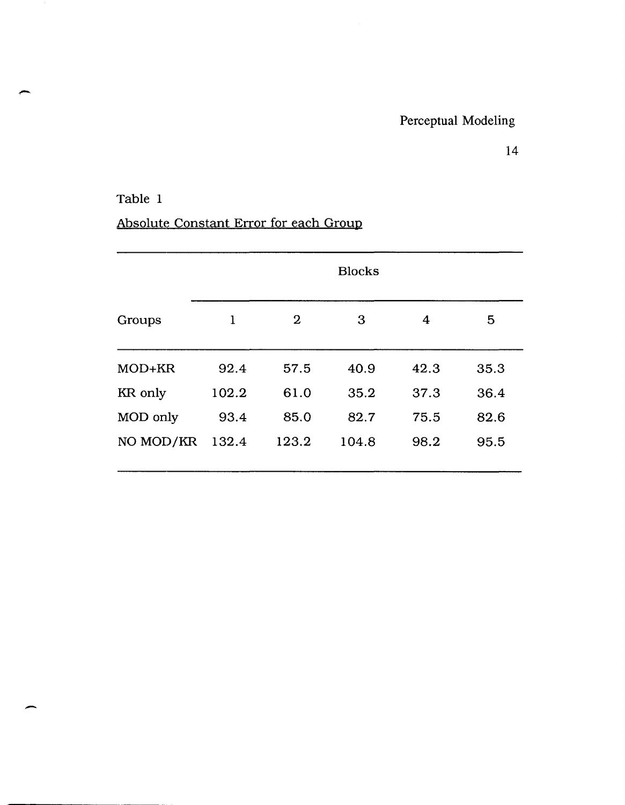### Table 1

-

# Absolute Constant Error for each Group

|           | <b>Blocks</b> |              |       |      |      |  |
|-----------|---------------|--------------|-------|------|------|--|
| Groups    | 1             | $\mathbf{2}$ | 3     | 4    | 5    |  |
| MOD+KR    | 92.4          | 57.5         | 40.9  | 42.3 | 35.3 |  |
| KR only   | 102.2         | 61.0         | 35.2  | 37.3 | 36.4 |  |
| MOD only  | 93.4          | 85.0         | 82.7  | 75.5 | 82.6 |  |
| NO MOD/KR | 132.4         | 123.2        | 104.8 | 98.2 | 95.5 |  |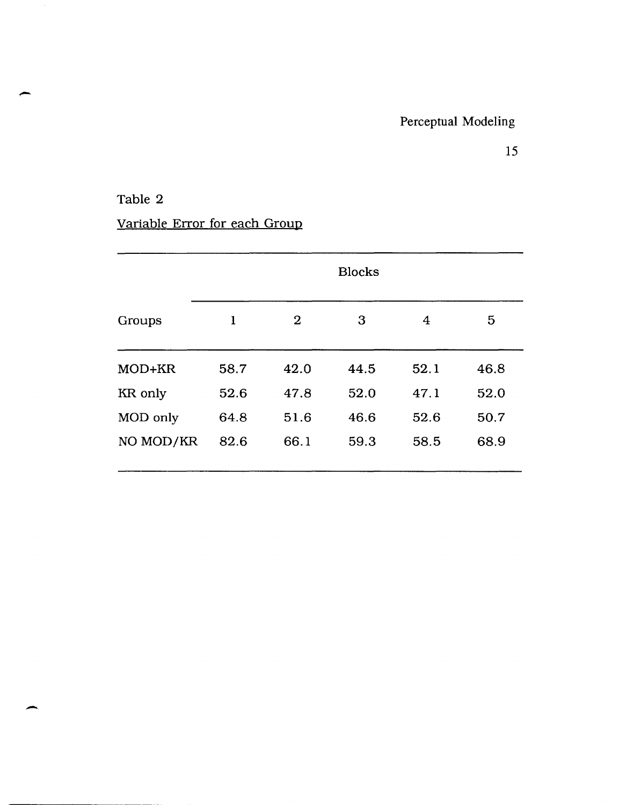## Table 2

-

# Variable Error for each Group

|           | <b>Blocks</b> |          |      |      |      |  |
|-----------|---------------|----------|------|------|------|--|
| Groups    | 1             | $\bf{2}$ | 3    | 4    | 5    |  |
| MOD+KR    | 58.7          | 42.0     | 44.5 | 52.1 | 46.8 |  |
| KR only   | 52.6          | 47.8     | 52.0 | 47.1 | 52.0 |  |
| MOD only  | 64.8          | 51.6     | 46.6 | 52.6 | 50.7 |  |
| NO MOD/KR | 82.6          | 66.1     | 59.3 | 58.5 | 68.9 |  |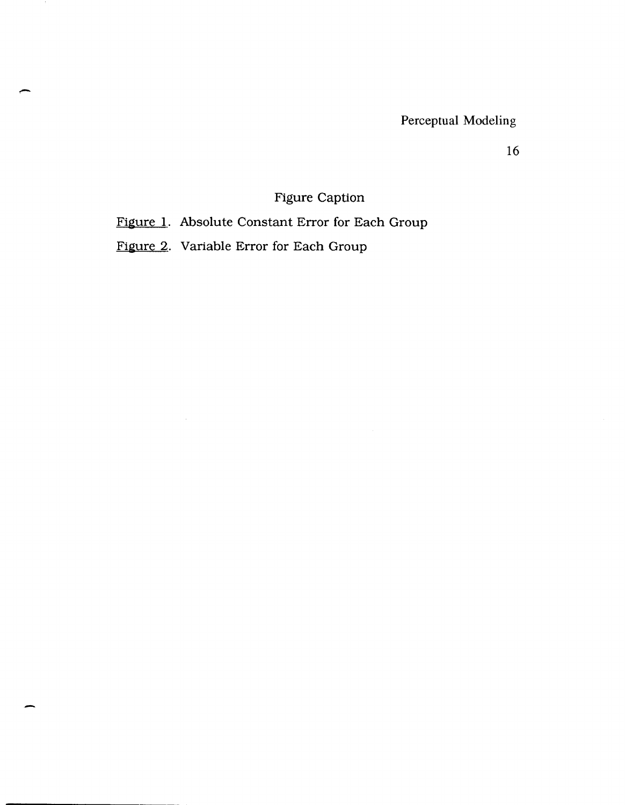Perceptual Modeling

16

## Figure Caption

Figure 1. Absolute Constant Error for Each Group

Figure 2. Variable Error for Each Group

 $\bar{\beta}$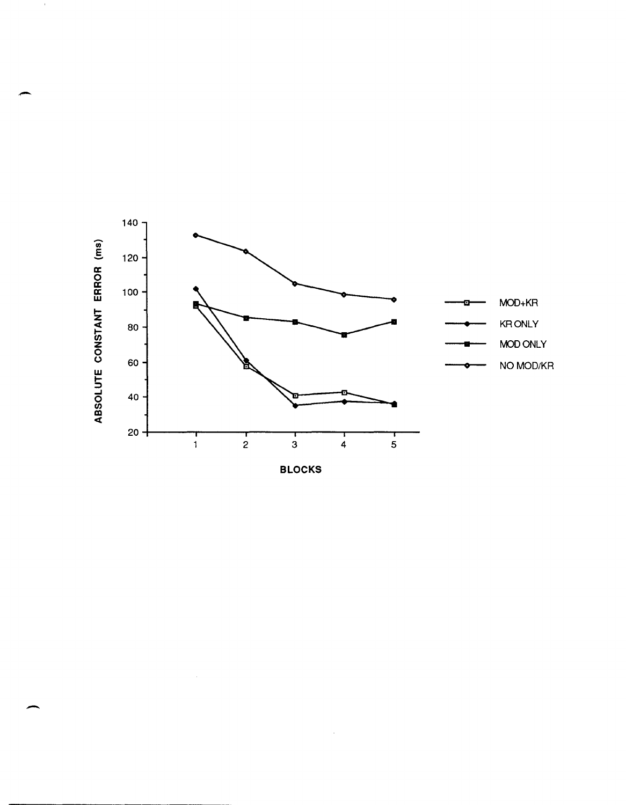

-

 $\mathcal{A}$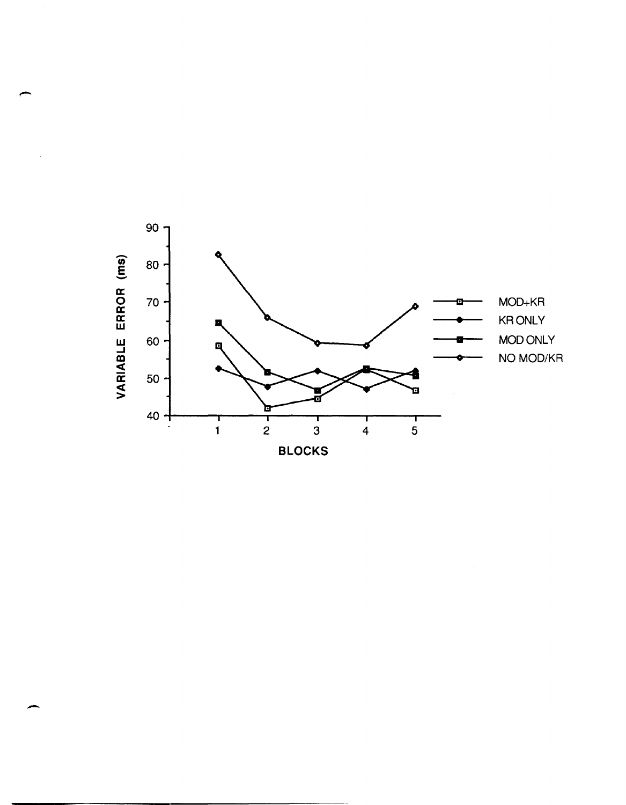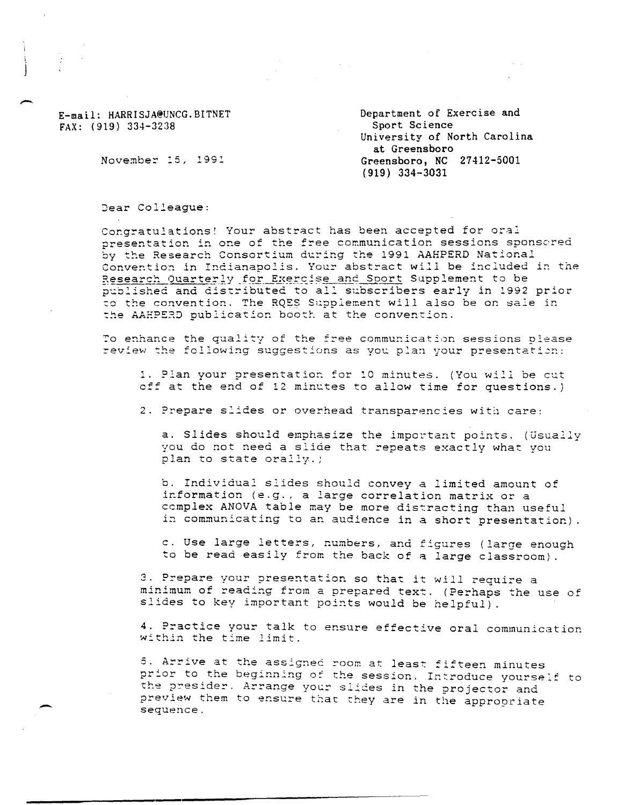E-mail: HARRISJA@UNCG.BITNET FAX: (919) 334-32:38

i j

--

-

Department of Exercise and Sport Science University of North Carolina at Greensboro Greensboro, NC 27412-5001 (919) 334-3031

November 15, 1991

Dear Colleague:

Congratulations! Your abstract has been accepted for oral presentation in one of the free communication sessions sponsored by the Research Consortium during the 1991 AAHPERD National Convention in Indianapolis. Your abstract will be included in the Research Quarterly for Exercise and Sport Supplement to be published and distributed to all subscribers early in 1992 prior to the convention. The RQES Supplement will also be on sale in the AAHPERD publication booth at the convention.

To enhance the quality of the free communication sessions please review the following suggestions as you plan your presentation:

1. Plan your presentation for 10 minutes. (You will be cut off at the end of 12 minutes to allow time for questions.)

2. Prepare slides or overhead transparencies witi care:

a. Slides should emphasize the important points. (Usually you do not need a slide that repeats exactly what you plan to state orally.)

b. Individual slides should convey a limited amount of information (e.g., a large correlation matrix or a ccmplex ANOVA table may be more distracting than useful in communicating to an audience in a short presentation).

c. Use large letters, numbers, and figures (large enough to be read easily from the back of a large classroom)

3. Prepare your presentation so that it will require a minimum of reading from a prepared text. (Perhaps the use of slides to key important points would be helpful) .

4. Practice your talk to ensure effective oral communication within the time limit.

5. Arrive at the assigned room at least fifteen minutes prior to the beginning of the session. Introduce yourself to the presider. Arrange your slides in the projector and preview them to ensure that they are in the appropriate sequence.